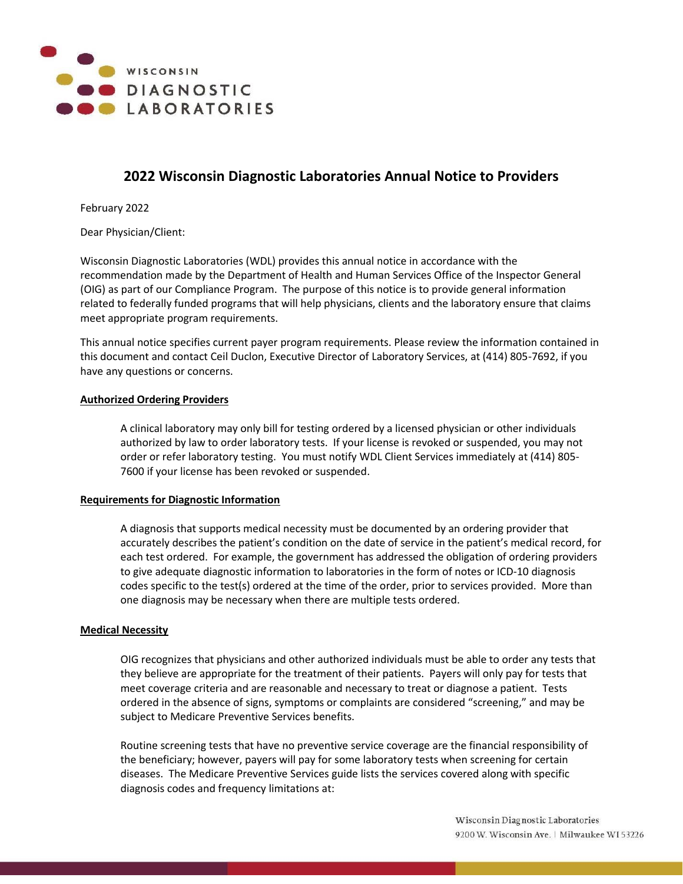

# **2022 Wisconsin Diagnostic Laboratories Annual Notice to Providers**

February 2022

Dear Physician/Client:

Wisconsin Diagnostic Laboratories (WDL) provides this annual notice in accordance with the recommendation made by the Department of Health and Human Services Office of the Inspector General (OIG) as part of our Compliance Program. The purpose of this notice is to provide general information related to federally funded programs that will help physicians, clients and the laboratory ensure that claims meet appropriate program requirements.

This annual notice specifies current payer program requirements. Please review the information contained in this document and contact Ceil Duclon, Executive Director of Laboratory Services, at (414) 805-7692, if you have any questions or concerns.

# **Authorized Ordering Providers**

A clinical laboratory may only bill for testing ordered by a licensed physician or other individuals authorized by law to order laboratory tests. If your license is revoked or suspended, you may not order or refer laboratory testing. You must notify WDL Client Services immediately at (414) 805- 7600 if your license has been revoked or suspended.

# **Requirements for Diagnostic Information**

A diagnosis that supports medical necessity must be documented by an ordering provider that accurately describes the patient's condition on the date of service in the patient's medical record, for each test ordered. For example, the government has addressed the obligation of ordering providers to give adequate diagnostic information to laboratories in the form of notes or ICD-10 diagnosis codes specific to the test(s) ordered at the time of the order, prior to services provided. More than one diagnosis may be necessary when there are multiple tests ordered.

#### **Medical Necessity**

OIG recognizes that physicians and other authorized individuals must be able to order any tests that they believe are appropriate for the treatment of their patients. Payers will only pay for tests that meet coverage criteria and are reasonable and necessary to treat or diagnose a patient. Tests ordered in the absence of signs, symptoms or complaints are considered "screening," and may be subject to Medicare Preventive Services benefits.

Routine screening tests that have no preventive service coverage are the financial responsibility of the beneficiary; however, payers will pay for some laboratory tests when screening for certain diseases. The Medicare Preventive Services guide lists the services covered along with specific diagnosis codes and frequency limitations at: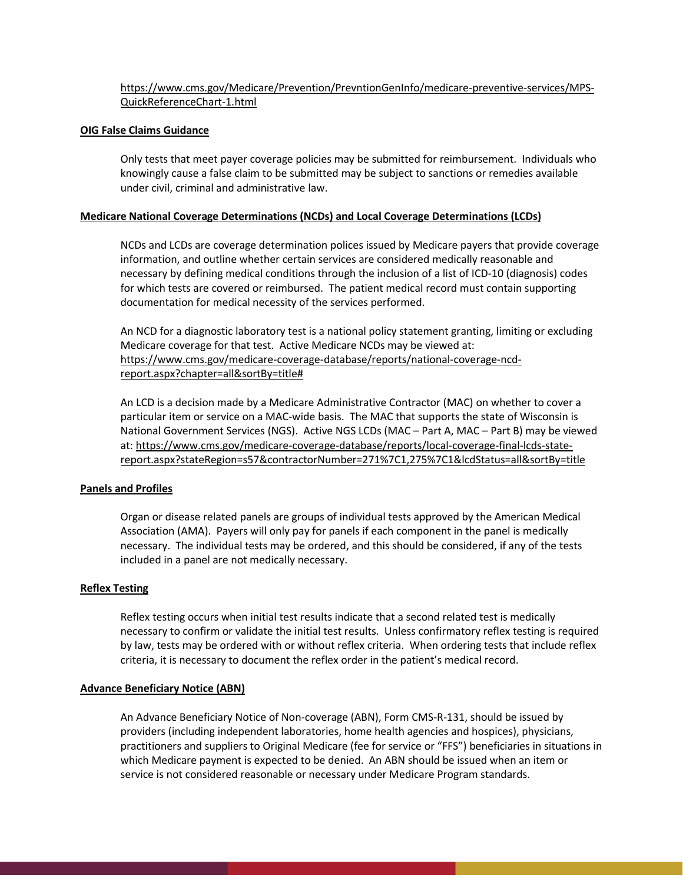# [https://www.cms.gov/Medicare/Prevention/PrevntionGenInfo/medicare-preventive-services/MPS-](https://www.cms.gov/Medicare/Prevention/PrevntionGenInfo/medicare-preventive-services/MPS-QuickReferenceChart-1.html)[QuickReferenceChart-1.html](https://www.cms.gov/Medicare/Prevention/PrevntionGenInfo/medicare-preventive-services/MPS-QuickReferenceChart-1.html)

## **OIG False Claims Guidance**

Only tests that meet payer coverage policies may be submitted for reimbursement. Individuals who knowingly cause a false claim to be submitted may be subject to sanctions or remedies available under civil, criminal and administrative law.

## **Medicare National Coverage Determinations (NCDs) and Local Coverage Determinations (LCDs)**

NCDs and LCDs are coverage determination polices issued by Medicare payers that provide coverage information, and outline whether certain services are considered medically reasonable and necessary by defining medical conditions through the inclusion of a list of ICD-10 (diagnosis) codes for which tests are covered or reimbursed. The patient medical record must contain supporting documentation for medical necessity of the services performed.

An NCD for a diagnostic laboratory test is a national policy statement granting, limiting or excluding Medicare coverage for that test. Active Medicare NCDs may be viewed at: [https://www.cms.gov/medicare-coverage-database/reports/national-coverage-ncd](https://www.cms.gov/medicare-coverage-database/reports/national-coverage-ncd-report.aspx?chapter=all&sortBy=title)[report.aspx?chapter=all&sortBy=title#](https://www.cms.gov/medicare-coverage-database/reports/national-coverage-ncd-report.aspx?chapter=all&sortBy=title)

An LCD is a decision made by a Medicare Administrative Contractor (MAC) on whether to cover a particular item or service on a MAC-wide basis. The MAC that supports the state of Wisconsin is National Government Services (NGS). Active NGS LCDs (MAC – Part A, MAC – Part B) may be viewed at[: https://www.cms.gov/medicare-coverage-database/reports/local-coverage-final-lcds-state](https://www.cms.gov/medicare-coverage-database/reports/local-coverage-final-lcds-state-report.aspx?stateRegion=s57&contractorNumber=271%7C1,275%7C1&lcdStatus=all&sortBy=title)[report.aspx?stateRegion=s57&contractorNumber=271%7C1,275%7C1&lcdStatus=all&sortBy=title](https://www.cms.gov/medicare-coverage-database/reports/local-coverage-final-lcds-state-report.aspx?stateRegion=s57&contractorNumber=271%7C1,275%7C1&lcdStatus=all&sortBy=title)

#### **Panels and Profiles**

Organ or disease related panels are groups of individual tests approved by the American Medical Association (AMA). Payers will only pay for panels if each component in the panel is medically necessary. The individual tests may be ordered, and this should be considered, if any of the tests included in a panel are not medically necessary.

#### **Reflex Testing**

Reflex testing occurs when initial test results indicate that a second related test is medically necessary to confirm or validate the initial test results. Unless confirmatory reflex testing is required by law, tests may be ordered with or without reflex criteria. When ordering tests that include reflex criteria, it is necessary to document the reflex order in the patient's medical record.

#### **Advance Beneficiary Notice (ABN)**

An Advance Beneficiary Notice of Non-coverage (ABN), Form CMS-R-131, should be issued by providers (including independent laboratories, home health agencies and hospices), physicians, practitioners and suppliers to Original Medicare (fee for service or "FFS") beneficiaries in situations in which Medicare payment is expected to be denied. An ABN should be issued when an item or service is not considered reasonable or necessary under Medicare Program standards.